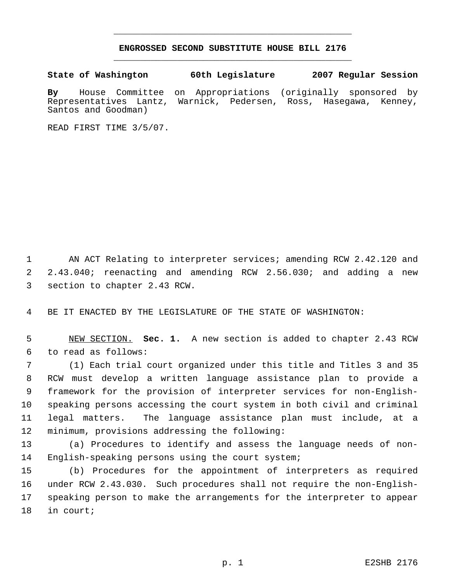## **ENGROSSED SECOND SUBSTITUTE HOUSE BILL 2176** \_\_\_\_\_\_\_\_\_\_\_\_\_\_\_\_\_\_\_\_\_\_\_\_\_\_\_\_\_\_\_\_\_\_\_\_\_\_\_\_\_\_\_\_\_

\_\_\_\_\_\_\_\_\_\_\_\_\_\_\_\_\_\_\_\_\_\_\_\_\_\_\_\_\_\_\_\_\_\_\_\_\_\_\_\_\_\_\_\_\_

**State of Washington 60th Legislature 2007 Regular Session**

**By** House Committee on Appropriations (originally sponsored by Representatives Lantz, Warnick, Pedersen, Ross, Santos and Goodman)

READ FIRST TIME 3/5/07.

1 AN ACT Relating to interpreter services; amending RCW 2.42.120 and 2.43.040; reenacting and amending RCW 2.56.030; and adding a new section to chapter 2.43 RCW.

BE IT ENACTED BY THE LEGISLATURE OF THE STATE OF WASHINGTON:

 NEW SECTION. **Sec. 1.** A new section is added to chapter 2.43 RCW to read as follows:

 (1) Each trial court organized under this title and Titles 3 and 35 RCW must develop a written language assistance plan to provide a framework for the provision of interpreter services for non-English- speaking persons accessing the court system in both civil and criminal legal matters. The language assistance plan must include, at a minimum, provisions addressing the following:

 (a) Procedures to identify and assess the language needs of non-English-speaking persons using the court system;

 (b) Procedures for the appointment of interpreters as required under RCW 2.43.030. Such procedures shall not require the non-English- speaking person to make the arrangements for the interpreter to appear in court;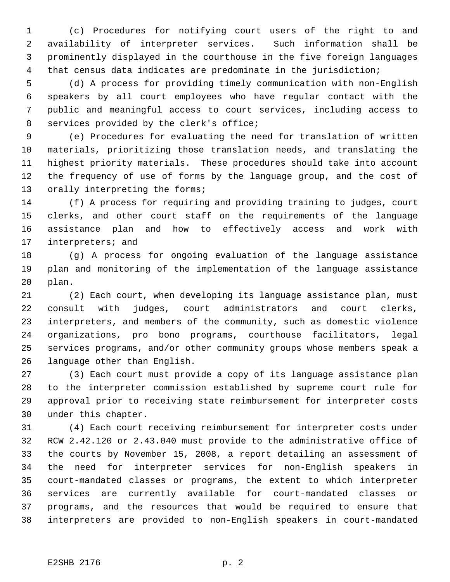(c) Procedures for notifying court users of the right to and availability of interpreter services. Such information shall be prominently displayed in the courthouse in the five foreign languages that census data indicates are predominate in the jurisdiction;

 (d) A process for providing timely communication with non-English speakers by all court employees who have regular contact with the public and meaningful access to court services, including access to services provided by the clerk's office;

 (e) Procedures for evaluating the need for translation of written materials, prioritizing those translation needs, and translating the highest priority materials. These procedures should take into account the frequency of use of forms by the language group, and the cost of 13 orally interpreting the forms;

 (f) A process for requiring and providing training to judges, court clerks, and other court staff on the requirements of the language assistance plan and how to effectively access and work with interpreters; and

 (g) A process for ongoing evaluation of the language assistance plan and monitoring of the implementation of the language assistance plan.

 (2) Each court, when developing its language assistance plan, must consult with judges, court administrators and court clerks, interpreters, and members of the community, such as domestic violence organizations, pro bono programs, courthouse facilitators, legal services programs, and/or other community groups whose members speak a language other than English.

 (3) Each court must provide a copy of its language assistance plan to the interpreter commission established by supreme court rule for approval prior to receiving state reimbursement for interpreter costs under this chapter.

 (4) Each court receiving reimbursement for interpreter costs under RCW 2.42.120 or 2.43.040 must provide to the administrative office of the courts by November 15, 2008, a report detailing an assessment of the need for interpreter services for non-English speakers in court-mandated classes or programs, the extent to which interpreter services are currently available for court-mandated classes or programs, and the resources that would be required to ensure that interpreters are provided to non-English speakers in court-mandated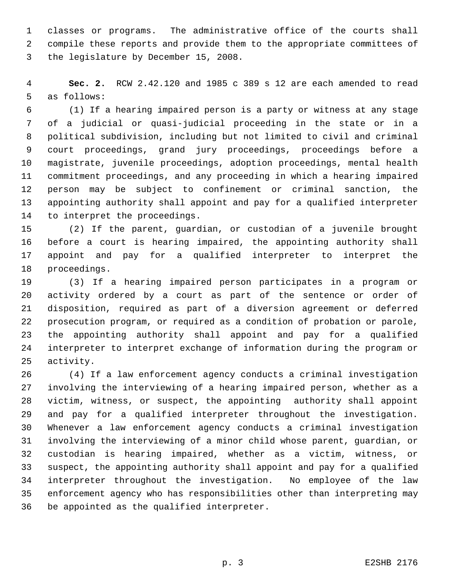classes or programs. The administrative office of the courts shall compile these reports and provide them to the appropriate committees of the legislature by December 15, 2008.

 **Sec. 2.** RCW 2.42.120 and 1985 c 389 s 12 are each amended to read as follows:

 (1) If a hearing impaired person is a party or witness at any stage of a judicial or quasi-judicial proceeding in the state or in a political subdivision, including but not limited to civil and criminal court proceedings, grand jury proceedings, proceedings before a magistrate, juvenile proceedings, adoption proceedings, mental health commitment proceedings, and any proceeding in which a hearing impaired person may be subject to confinement or criminal sanction, the appointing authority shall appoint and pay for a qualified interpreter to interpret the proceedings.

 (2) If the parent, guardian, or custodian of a juvenile brought before a court is hearing impaired, the appointing authority shall appoint and pay for a qualified interpreter to interpret the proceedings.

 (3) If a hearing impaired person participates in a program or activity ordered by a court as part of the sentence or order of disposition, required as part of a diversion agreement or deferred prosecution program, or required as a condition of probation or parole, the appointing authority shall appoint and pay for a qualified interpreter to interpret exchange of information during the program or activity.

 (4) If a law enforcement agency conducts a criminal investigation involving the interviewing of a hearing impaired person, whether as a victim, witness, or suspect, the appointing authority shall appoint and pay for a qualified interpreter throughout the investigation. Whenever a law enforcement agency conducts a criminal investigation involving the interviewing of a minor child whose parent, guardian, or custodian is hearing impaired, whether as a victim, witness, or suspect, the appointing authority shall appoint and pay for a qualified interpreter throughout the investigation. No employee of the law enforcement agency who has responsibilities other than interpreting may be appointed as the qualified interpreter.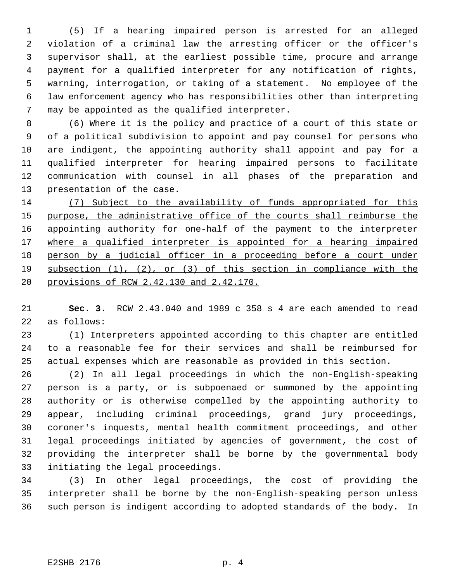(5) If a hearing impaired person is arrested for an alleged violation of a criminal law the arresting officer or the officer's supervisor shall, at the earliest possible time, procure and arrange payment for a qualified interpreter for any notification of rights, warning, interrogation, or taking of a statement. No employee of the law enforcement agency who has responsibilities other than interpreting may be appointed as the qualified interpreter.

 (6) Where it is the policy and practice of a court of this state or of a political subdivision to appoint and pay counsel for persons who are indigent, the appointing authority shall appoint and pay for a qualified interpreter for hearing impaired persons to facilitate communication with counsel in all phases of the preparation and presentation of the case.

 (7) Subject to the availability of funds appropriated for this purpose, the administrative office of the courts shall reimburse the 16 appointing authority for one-half of the payment to the interpreter 17 where a qualified interpreter is appointed for a hearing impaired person by a judicial officer in a proceeding before a court under subsection (1), (2), or (3) of this section in compliance with the provisions of RCW 2.42.130 and 2.42.170.

 **Sec. 3.** RCW 2.43.040 and 1989 c 358 s 4 are each amended to read as follows:

 (1) Interpreters appointed according to this chapter are entitled to a reasonable fee for their services and shall be reimbursed for actual expenses which are reasonable as provided in this section.

 (2) In all legal proceedings in which the non-English-speaking person is a party, or is subpoenaed or summoned by the appointing authority or is otherwise compelled by the appointing authority to appear, including criminal proceedings, grand jury proceedings, coroner's inquests, mental health commitment proceedings, and other legal proceedings initiated by agencies of government, the cost of providing the interpreter shall be borne by the governmental body initiating the legal proceedings.

 (3) In other legal proceedings, the cost of providing the interpreter shall be borne by the non-English-speaking person unless such person is indigent according to adopted standards of the body. In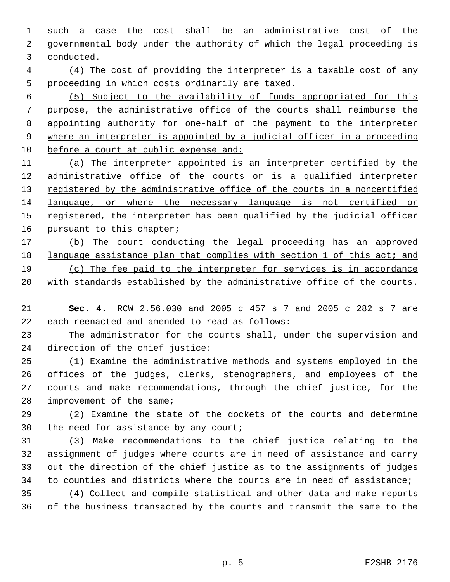such a case the cost shall be an administrative cost of the governmental body under the authority of which the legal proceeding is conducted.

 (4) The cost of providing the interpreter is a taxable cost of any proceeding in which costs ordinarily are taxed.

 (5) Subject to the availability of funds appropriated for this purpose, the administrative office of the courts shall reimburse the appointing authority for one-half of the payment to the interpreter where an interpreter is appointed by a judicial officer in a proceeding before a court at public expense and:

 (a) The interpreter appointed is an interpreter certified by the 12 administrative office of the courts or is a qualified interpreter 13 registered by the administrative office of the courts in a noncertified language, or where the necessary language is not certified or 15 registered, the interpreter has been qualified by the judicial officer 16 pursuant to this chapter;

 (b) The court conducting the legal proceeding has an approved 18 language assistance plan that complies with section 1 of this act; and (c) The fee paid to the interpreter for services is in accordance 20 with standards established by the administrative office of the courts.

 **Sec. 4.** RCW 2.56.030 and 2005 c 457 s 7 and 2005 c 282 s 7 are each reenacted and amended to read as follows:

 The administrator for the courts shall, under the supervision and direction of the chief justice:

 (1) Examine the administrative methods and systems employed in the offices of the judges, clerks, stenographers, and employees of the courts and make recommendations, through the chief justice, for the improvement of the same;

 (2) Examine the state of the dockets of the courts and determine the need for assistance by any court;

 (3) Make recommendations to the chief justice relating to the assignment of judges where courts are in need of assistance and carry out the direction of the chief justice as to the assignments of judges to counties and districts where the courts are in need of assistance;

 (4) Collect and compile statistical and other data and make reports of the business transacted by the courts and transmit the same to the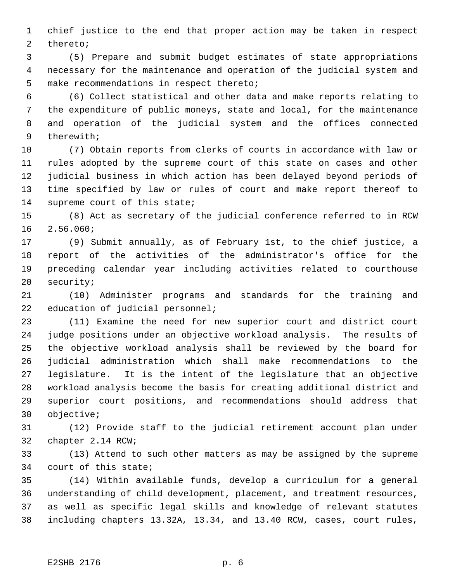chief justice to the end that proper action may be taken in respect thereto;

 (5) Prepare and submit budget estimates of state appropriations necessary for the maintenance and operation of the judicial system and make recommendations in respect thereto;

 (6) Collect statistical and other data and make reports relating to the expenditure of public moneys, state and local, for the maintenance and operation of the judicial system and the offices connected therewith;

 (7) Obtain reports from clerks of courts in accordance with law or rules adopted by the supreme court of this state on cases and other judicial business in which action has been delayed beyond periods of time specified by law or rules of court and make report thereof to supreme court of this state;

 (8) Act as secretary of the judicial conference referred to in RCW 2.56.060;

 (9) Submit annually, as of February 1st, to the chief justice, a report of the activities of the administrator's office for the preceding calendar year including activities related to courthouse security;

 (10) Administer programs and standards for the training and 22 education of judicial personnel;

 (11) Examine the need for new superior court and district court judge positions under an objective workload analysis. The results of the objective workload analysis shall be reviewed by the board for judicial administration which shall make recommendations to the legislature. It is the intent of the legislature that an objective workload analysis become the basis for creating additional district and superior court positions, and recommendations should address that objective;

 (12) Provide staff to the judicial retirement account plan under chapter 2.14 RCW;

 (13) Attend to such other matters as may be assigned by the supreme court of this state;

 (14) Within available funds, develop a curriculum for a general understanding of child development, placement, and treatment resources, as well as specific legal skills and knowledge of relevant statutes including chapters 13.32A, 13.34, and 13.40 RCW, cases, court rules,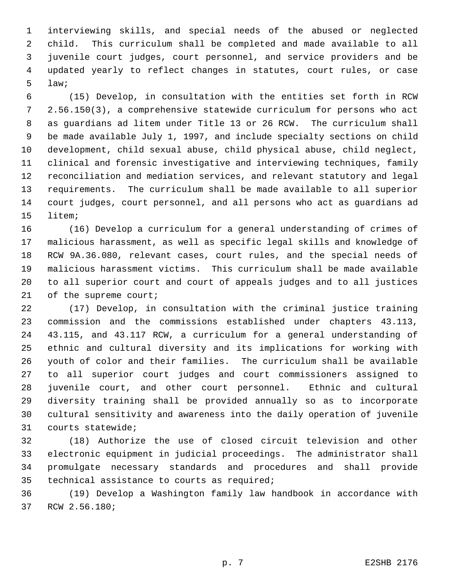interviewing skills, and special needs of the abused or neglected child. This curriculum shall be completed and made available to all juvenile court judges, court personnel, and service providers and be updated yearly to reflect changes in statutes, court rules, or case law;

 (15) Develop, in consultation with the entities set forth in RCW 2.56.150(3), a comprehensive statewide curriculum for persons who act as guardians ad litem under Title 13 or 26 RCW. The curriculum shall be made available July 1, 1997, and include specialty sections on child development, child sexual abuse, child physical abuse, child neglect, clinical and forensic investigative and interviewing techniques, family reconciliation and mediation services, and relevant statutory and legal requirements. The curriculum shall be made available to all superior court judges, court personnel, and all persons who act as guardians ad litem;

 (16) Develop a curriculum for a general understanding of crimes of malicious harassment, as well as specific legal skills and knowledge of RCW 9A.36.080, relevant cases, court rules, and the special needs of malicious harassment victims. This curriculum shall be made available to all superior court and court of appeals judges and to all justices 21 of the supreme court;

 (17) Develop, in consultation with the criminal justice training commission and the commissions established under chapters 43.113, 43.115, and 43.117 RCW, a curriculum for a general understanding of ethnic and cultural diversity and its implications for working with youth of color and their families. The curriculum shall be available to all superior court judges and court commissioners assigned to juvenile court, and other court personnel. Ethnic and cultural diversity training shall be provided annually so as to incorporate cultural sensitivity and awareness into the daily operation of juvenile courts statewide;

 (18) Authorize the use of closed circuit television and other electronic equipment in judicial proceedings. The administrator shall promulgate necessary standards and procedures and shall provide technical assistance to courts as required;

 (19) Develop a Washington family law handbook in accordance with RCW 2.56.180;